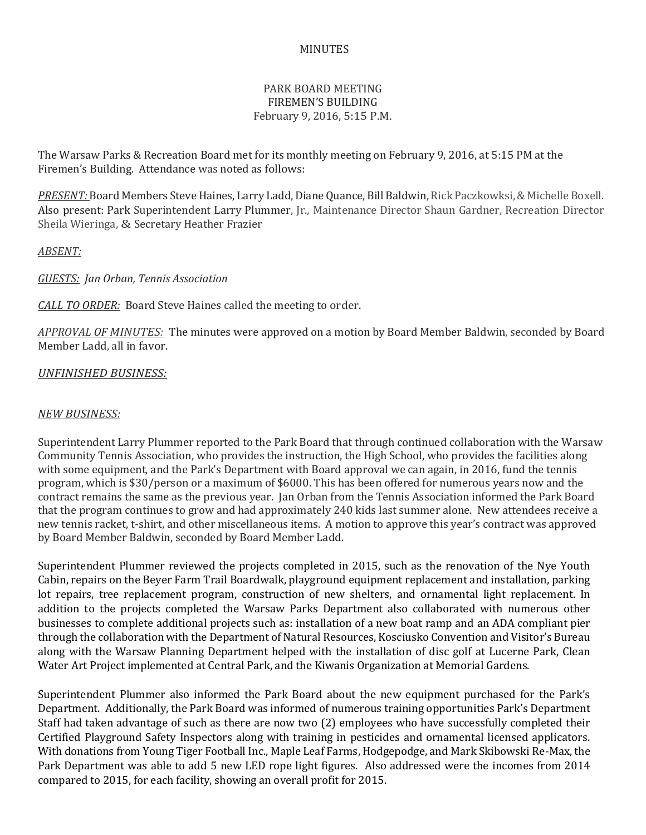## MINUTES

## PARK BOARD MEETING FIREMEN'S BUILDING February 9, 2016, 5:15 P.M.

The Warsaw Parks & Recreation Board met for its monthly meeting on February 9, 2016, at 5:15 PM at the Firemen's Building. Attendance was noted as follows:

*PRESENT:* Board Members Steve Haines, Larry Ladd, Diane Quance, Bill Baldwin, Rick Paczkowksi, & Michelle Boxell. Also present: Park Superintendent Larry Plummer, Jr., Maintenance Director Shaun Gardner, Recreation Director Sheila Wieringa, & Secretary Heather Frazier

*ABSENT:*

*GUESTS: Jan Orban, Tennis Association*

*CALL TO ORDER:* Board Steve Haines called the meeting to order.

*APPROVAL OF MINUTES:* The minutes were approved on a motion by Board Member Baldwin, seconded by Board Member Ladd, all in favor.

## *UNFINISHED BUSINESS:*

## *NEW BUSINESS:*

Superintendent Larry Plummer reported to the Park Board that through continued collaboration with the Warsaw Community Tennis Association, who provides the instruction, the High School, who provides the facilities along with some equipment, and the Park's Department with Board approval we can again, in 2016, fund the tennis program, which is \$30/person or a maximum of \$6000. This has been offered for numerous years now and the contract remains the same as the previous year. Jan Orban from the Tennis Association informed the Park Board that the program continues to grow and had approximately 240 kids last summer alone. New attendees receive a new tennis racket, t-shirt, and other miscellaneous items. A motion to approve this year's contract was approved by Board Member Baldwin, seconded by Board Member Ladd.

Superintendent Plummer reviewed the projects completed in 2015, such as the renovation of the Nye Youth Cabin, repairs on the Beyer Farm Trail Boardwalk, playground equipment replacement and installation, parking lot repairs, tree replacement program, construction of new shelters, and ornamental light replacement. In addition to the projects completed the Warsaw Parks Department also collaborated with numerous other businesses to complete additional projects such as: installation of a new boat ramp and an ADA compliant pier through the collaboration with the Department of Natural Resources, Kosciusko Convention and Visitor's Bureau along with the Warsaw Planning Department helped with the installation of disc golf at Lucerne Park, Clean Water Art Project implemented at Central Park, and the Kiwanis Organization at Memorial Gardens.

Superintendent Plummer also informed the Park Board about the new equipment purchased for the Park's Department. Additionally, the Park Board was informed of numerous training opportunities Park's Department Staff had taken advantage of such as there are now two (2) employees who have successfully completed their Certified Playground Safety Inspectors along with training in pesticides and ornamental licensed applicators. With donations from Young Tiger Football Inc., Maple Leaf Farms, Hodgepodge, and Mark Skibowski Re-Max, the Park Department was able to add 5 new LED rope light figures. Also addressed were the incomes from 2014 compared to 2015, for each facility, showing an overall profit for 2015.